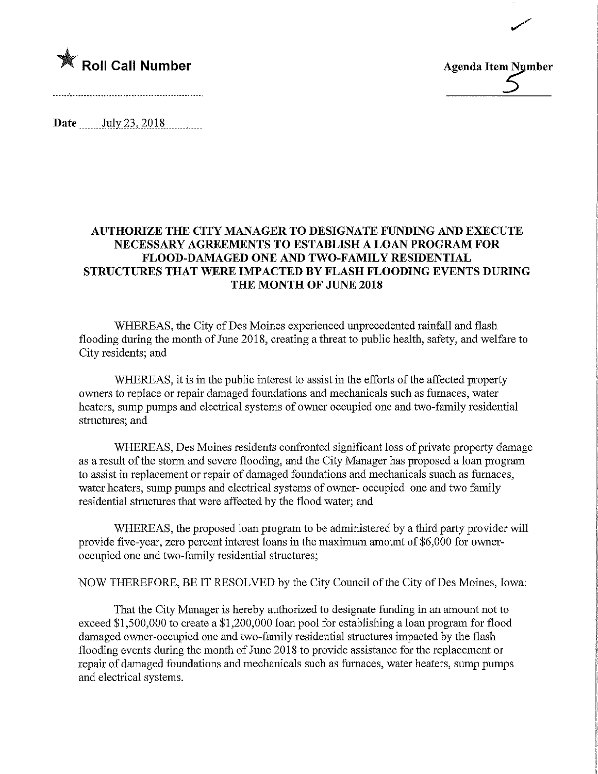



Date........July.23,.2018,

## AUTHORIZE THE CITY MANAGER TO DESIGNATE FUNDING AND EXECUTE NECESSARY AGREEMENTS TO ESTABLISH A LOAN PROGRAM FOR FLOOD-DAMAGED ONE AND TWO-FAMILY RESIDENTIAL STRUCTURES THAT WERE IMPACTED BY FLASH FLOODING EVENTS DURING THE MONTH OF JUNE 2018

WHEREAS, the City of Des Moines experienced unprecedented rainfall and flash flooding during the month of June 2018, creating a threat to public health, safety, and welfare to City residents; and

WHEREAS, it is in the public interest to assist in the efforts of the affected property owners to replace or repair damaged foundations and mechanicals such as furnaces, water heaters, sump pumps and electrical systems of owner occupied one and two-family residential structures; and

WHEREAS, Des Moines residents confronted significant loss of private property damage as a result of the storm and severe flooding, and the City Manager has proposed a loan program to assist in replacement or repair of damaged foundations and mechanicals suach as furnaces, water heaters, sump pumps and electrical systems of owner- occupied one and two family residential structures that were affected by the flood water; and

WHEREAS, the proposed loan program to be administered by a third party provider will provide five-year, zero percent interest loans in the maximum amount of \$6,000 for owneroccupied one and two-family residential structures;

NOW THEREFORE, BE IT RESOLVED by the City Council of the City of Des Moines, Iowa:

That the City Manager is hereby authorized to designate funding in an amount not to exceed \$1,500,000 to create a \$1,200,000 loan pool for establishing a loan program for flood damaged owner-occupied one and two-family residential structures impacted by the flash flooding events during the month of June 2018 to provide assistance for the replacement or repair of damaged foundations and mechanicals such as furnaces, water heaters, sump pumps and electrical systems.